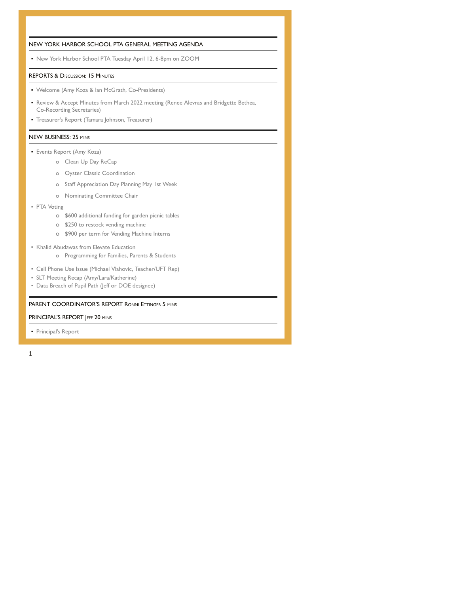| NEW YORK HARBOR SCHOOL PTA GENERAL MEETING AGENDA                                                                                                                           |
|-----------------------------------------------------------------------------------------------------------------------------------------------------------------------------|
| • New York Harbor School PTA Tuesday April 12, 6-8pm on ZOOM                                                                                                                |
| <b>REPORTS &amp; DISCUSSION: 15 MINUTES</b>                                                                                                                                 |
| • Welcome (Amy Koza & lan McGrath, Co-Presidents)                                                                                                                           |
| • Review & Accept Minutes from March 2022 meeting (Renee Alevras and Bridgette Bethea,<br>Co-Recording Secretaries)                                                         |
| • Treasurer's Report (Tamara Johnson, Treasurer)                                                                                                                            |
| <b>NEW BUSINESS: 25 MINS</b>                                                                                                                                                |
| • Events Report (Amy Koza)                                                                                                                                                  |
| o Clean Up Day ReCap                                                                                                                                                        |
| <b>Oyster Classic Coordination</b><br>$\circ$                                                                                                                               |
| Staff Appreciation Day Planning May 1st Week<br>$\circ$                                                                                                                     |
| Nominating Committee Chair<br>$\circ$                                                                                                                                       |
| · PTA Voting<br>o \$600 additional funding for garden picnic tables<br>\$250 to restock vending machine<br>$\circ$<br>\$900 per term for Vending Machine Interns<br>$\circ$ |
| • Khalid Abudawas from Elevate Education<br>o Programming for Families, Parents & Students                                                                                  |
| • Cell Phone Use Issue (Michael Vlahovic, Teacher/UFT Rep)<br>• SLT Meeting Recap (Amy/Lara/Katherine)<br>• Data Breach of Pupil Path (leff or DOE designee)                |
| <b>PARENT COORDINATOR'S REPORT RONNI ETTINGER 5 MINS</b>                                                                                                                    |

## PRINCIPAL'S REPORT JEFF 20 MINS

▪ Principal's Report